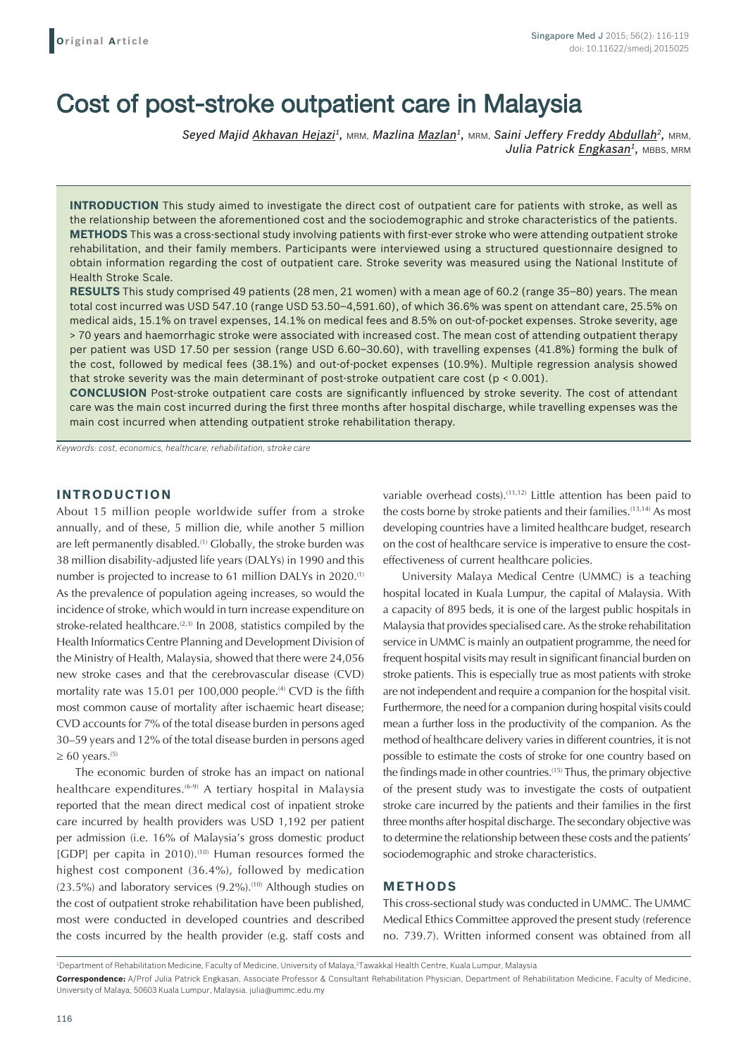# Cost of post-stroke outpatient care in Malaysia

*Seyed Majid Akhavan Hejazi1,* MRM, *Mazlina Mazlan1,* MRM, *Saini Jeffery Freddy Abdullah2,* MRM, Julia Patrick **Engkasan<sup>1</sup>**, MBBS, MRM

**INTRODUCTION** This study aimed to investigate the direct cost of outpatient care for patients with stroke, as well as the relationship between the aforementioned cost and the sociodemographic and stroke characteristics of the patients. **METHODS** This was a cross-sectional study involving patients with first-ever stroke who were attending outpatient stroke rehabilitation, and their family members. Participants were interviewed using a structured questionnaire designed to obtain information regarding the cost of outpatient care. Stroke severity was measured using the National Institute of Health Stroke Scale.

**RESULTS** This study comprised 49 patients (28 men, 21 women) with a mean age of 60.2 (range 35–80) years. The mean total cost incurred was USD 547.10 (range USD 53.50–4,591.60), of which 36.6% was spent on attendant care, 25.5% on medical aids, 15.1% on travel expenses, 14.1% on medical fees and 8.5% on out-of-pocket expenses. Stroke severity, age > 70 years and haemorrhagic stroke were associated with increased cost. The mean cost of attending outpatient therapy per patient was USD 17.50 per session (range USD 6.60–30.60), with travelling expenses (41.8%) forming the bulk of the cost, followed by medical fees (38.1%) and out-of-pocket expenses (10.9%). Multiple regression analysis showed that stroke severity was the main determinant of post-stroke outpatient care cost ( $p < 0.001$ ).

**CONCLUSION** Post-stroke outpatient care costs are significantly influenced by stroke severity. The cost of attendant care was the main cost incurred during the first three months after hospital discharge, while travelling expenses was the main cost incurred when attending outpatient stroke rehabilitation therapy.

*Keywords: cost, economics, healthcare, rehabilitation, stroke care*

### **INTRODUCTION**

About 15 million people worldwide suffer from a stroke annually, and of these, 5 million die, while another 5 million are left permanently disabled.<sup>(1)</sup> Globally, the stroke burden was 38 million disability-adjusted life years (DALYs) in 1990 and this number is projected to increase to 61 million DALYs in 2020.(1) As the prevalence of population ageing increases, so would the incidence of stroke, which would in turn increase expenditure on stroke-related healthcare.<sup>(2,3)</sup> In 2008, statistics compiled by the Health Informatics Centre Planning and Development Division of the Ministry of Health, Malaysia, showed that there were 24,056 new stroke cases and that the cerebrovascular disease (CVD) mortality rate was 15.01 per 100,000 people.<sup> $(4)$ </sup> CVD is the fifth most common cause of mortality after ischaemic heart disease; CVD accounts for 7% of the total disease burden in persons aged 30–59 years and 12% of the total disease burden in persons aged  $\geq 60$  years.<sup>(5)</sup>

The economic burden of stroke has an impact on national healthcare expenditures.<sup>(6-9)</sup> A tertiary hospital in Malaysia reported that the mean direct medical cost of inpatient stroke care incurred by health providers was USD 1,192 per patient per admission (i.e. 16% of Malaysia's gross domestic product [GDP] per capita in 2010).<sup>(10)</sup> Human resources formed the highest cost component (36.4%), followed by medication (23.5%) and laboratory services  $(9.2\%)$ .<sup>(10)</sup> Although studies on the cost of outpatient stroke rehabilitation have been published, most were conducted in developed countries and described the costs incurred by the health provider (e.g. staff costs and variable overhead costs).<sup>(11,12)</sup> Little attention has been paid to the costs borne by stroke patients and their families.<sup>(13,14)</sup> As most developing countries have a limited healthcare budget, research on the cost of healthcare service is imperative to ensure the costeffectiveness of current healthcare policies.

University Malaya Medical Centre (UMMC) is a teaching hospital located in Kuala Lumpur, the capital of Malaysia. With a capacity of 895 beds, it is one of the largest public hospitals in Malaysia that provides specialised care. As the stroke rehabilitation service in UMMC is mainly an outpatient programme, the need for frequent hospital visits may result in significant financial burden on stroke patients. This is especially true as most patients with stroke are not independent and require a companion for the hospital visit. Furthermore, the need for a companion during hospital visits could mean a further loss in the productivity of the companion. As the method of healthcare delivery varies in different countries, it is not possible to estimate the costs of stroke for one country based on the findings made in other countries.<sup>(15)</sup> Thus, the primary objective of the present study was to investigate the costs of outpatient stroke care incurred by the patients and their families in the first three months after hospital discharge. The secondary objective was to determine the relationship between these costs and the patients' sociodemographic and stroke characteristics.

## **METHODS**

This cross-sectional study was conducted in UMMC. The UMMC Medical Ethics Committee approved the present study (reference no. 739.7). Written informed consent was obtained from all

1 Department of Rehabilitation Medicine, Faculty of Medicine, University of Malaya,2 Tawakkal Health Centre, Kuala Lumpur, Malaysia

**Correspondence:** A/Prof Julia Patrick Engkasan, Associate Professor & Consultant Rehabilitation Physician, Department of Rehabilitation Medicine, Faculty of Medicine, University of Malaya, 50603 Kuala Lumpur, Malaysia. julia@ummc.edu.my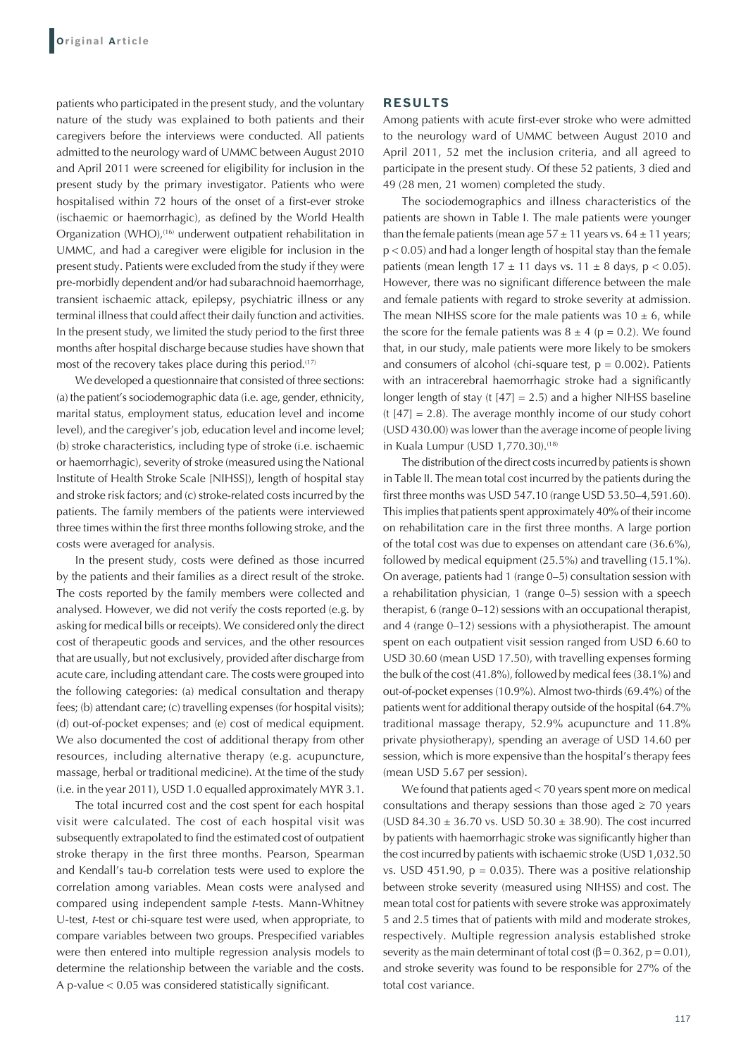patients who participated in the present study, and the voluntary nature of the study was explained to both patients and their caregivers before the interviews were conducted. All patients admitted to the neurology ward of UMMC between August 2010 and April 2011 were screened for eligibility for inclusion in the present study by the primary investigator. Patients who were hospitalised within 72 hours of the onset of a first-ever stroke (ischaemic or haemorrhagic), as defined by the World Health Organization (WHO),<sup>(16)</sup> underwent outpatient rehabilitation in UMMC, and had a caregiver were eligible for inclusion in the present study. Patients were excluded from the study if they were pre-morbidly dependent and/or had subarachnoid haemorrhage, transient ischaemic attack, epilepsy, psychiatric illness or any terminal illness that could affect their daily function and activities. In the present study, we limited the study period to the first three months after hospital discharge because studies have shown that most of the recovery takes place during this period.<sup>(17)</sup>

We developed a questionnaire that consisted of three sections: (a) the patient's sociodemographic data (i.e. age, gender, ethnicity, marital status, employment status, education level and income level), and the caregiver's job, education level and income level; (b) stroke characteristics, including type of stroke (i.e. ischaemic or haemorrhagic), severity of stroke (measured using the National Institute of Health Stroke Scale [NIHSS]), length of hospital stay and stroke risk factors; and (c) stroke-related costs incurred by the patients. The family members of the patients were interviewed three times within the first three months following stroke, and the costs were averaged for analysis.

In the present study, costs were defined as those incurred by the patients and their families as a direct result of the stroke. The costs reported by the family members were collected and analysed. However, we did not verify the costs reported (e.g. by asking for medical bills or receipts). We considered only the direct cost of therapeutic goods and services, and the other resources that are usually, but not exclusively, provided after discharge from acute care, including attendant care. The costs were grouped into the following categories: (a) medical consultation and therapy fees; (b) attendant care; (c) travelling expenses (for hospital visits); (d) out-of-pocket expenses; and (e) cost of medical equipment. We also documented the cost of additional therapy from other resources, including alternative therapy (e.g. acupuncture, massage, herbal or traditional medicine). At the time of the study (i.e. in the year 2011), USD 1.0 equalled approximately MYR 3.1.

The total incurred cost and the cost spent for each hospital visit were calculated. The cost of each hospital visit was subsequently extrapolated to find the estimated cost of outpatient stroke therapy in the first three months. Pearson, Spearman and Kendall's tau-b correlation tests were used to explore the correlation among variables. Mean costs were analysed and compared using independent sample *t*-tests. Mann-Whitney U-test, *t*-test or chi-square test were used, when appropriate, to compare variables between two groups. Prespecified variables were then entered into multiple regression analysis models to determine the relationship between the variable and the costs. A p-value < 0.05 was considered statistically significant.

#### **RESULTS**

Among patients with acute first-ever stroke who were admitted to the neurology ward of UMMC between August 2010 and April 2011, 52 met the inclusion criteria, and all agreed to participate in the present study. Of these 52 patients, 3 died and 49 (28 men, 21 women) completed the study.

The sociodemographics and illness characteristics of the patients are shown in Table I. The male patients were younger than the female patients (mean age  $57 \pm 11$  years vs.  $64 \pm 11$  years;  $p < 0.05$ ) and had a longer length of hospital stay than the female patients (mean length  $17 \pm 11$  days vs.  $11 \pm 8$  days,  $p < 0.05$ ). However, there was no significant difference between the male and female patients with regard to stroke severity at admission. The mean NIHSS score for the male patients was  $10 \pm 6$ , while the score for the female patients was  $8 \pm 4$  (p = 0.2). We found that, in our study, male patients were more likely to be smokers and consumers of alcohol (chi-square test,  $p = 0.002$ ). Patients with an intracerebral haemorrhagic stroke had a significantly longer length of stay (t  $[47] = 2.5$ ) and a higher NIHSS baseline  $(t [47] = 2.8)$ . The average monthly income of our study cohort (USD 430.00) was lower than the average income of people living in Kuala Lumpur (USD 1,770.30).<sup>(18)</sup>

The distribution of the direct costs incurred by patients is shown in Table II. The mean total cost incurred by the patients during the first three months was USD 547.10 (range USD 53.50–4,591.60). This implies that patients spent approximately 40% of their income on rehabilitation care in the first three months. A large portion of the total cost was due to expenses on attendant care (36.6%), followed by medical equipment (25.5%) and travelling (15.1%). On average, patients had 1 (range 0–5) consultation session with a rehabilitation physician, 1 (range 0–5) session with a speech therapist, 6 (range 0–12) sessions with an occupational therapist, and 4 (range 0–12) sessions with a physiotherapist. The amount spent on each outpatient visit session ranged from USD 6.60 to USD 30.60 (mean USD 17.50), with travelling expenses forming the bulk of the cost (41.8%), followed by medical fees (38.1%) and out-of-pocket expenses (10.9%). Almost two-thirds (69.4%) of the patients went for additional therapy outside of the hospital (64.7% traditional massage therapy, 52.9% acupuncture and 11.8% private physiotherapy), spending an average of USD 14.60 per session, which is more expensive than the hospital's therapy fees (mean USD 5.67 per session).

We found that patients aged < 70 years spent more on medical consultations and therapy sessions than those aged  $\geq$  70 years (USD 84.30  $\pm$  36.70 vs. USD 50.30  $\pm$  38.90). The cost incurred by patients with haemorrhagic stroke was significantly higher than the cost incurred by patients with ischaemic stroke (USD 1,032.50 vs. USD 451.90,  $p = 0.035$ ). There was a positive relationship between stroke severity (measured using NIHSS) and cost. The mean total cost for patients with severe stroke was approximately 5 and 2.5 times that of patients with mild and moderate strokes, respectively. Multiple regression analysis established stroke severity as the main determinant of total cost  $(\beta = 0.362, p = 0.01)$ , and stroke severity was found to be responsible for 27% of the total cost variance.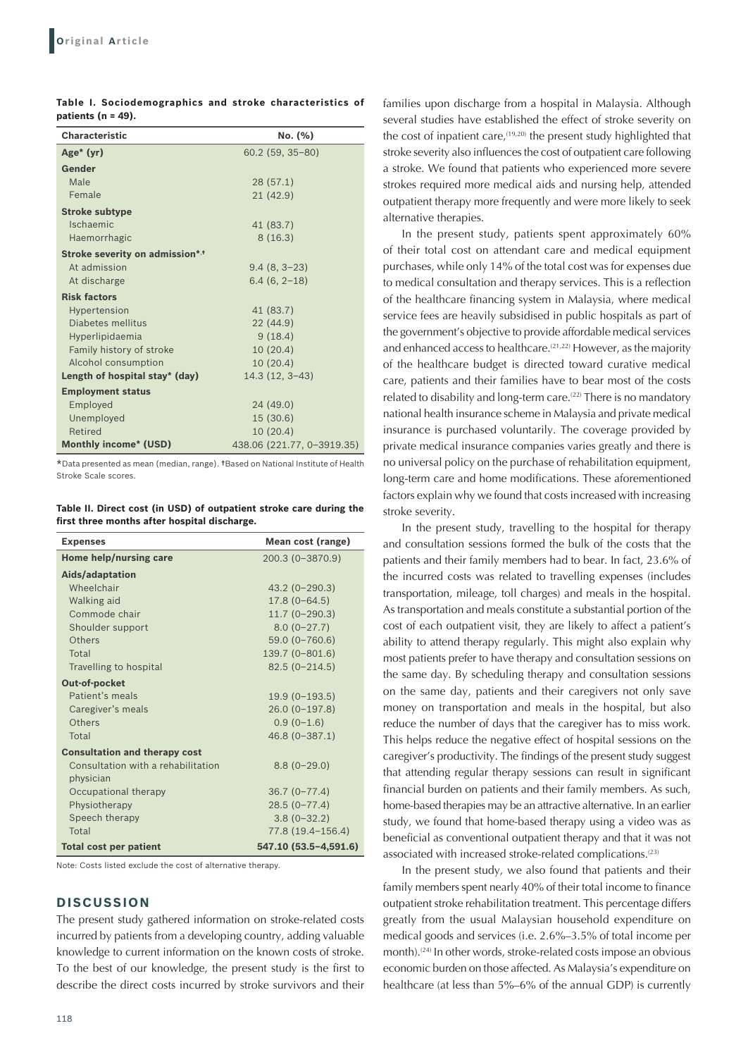|  |                        |  | Table I. Sociodemographics and stroke characteristics of |  |
|--|------------------------|--|----------------------------------------------------------|--|
|  | patients ( $n = 49$ ). |  |                                                          |  |

| <b>Characteristic</b>           | No. (%)                    |
|---------------------------------|----------------------------|
| Age <sup>*</sup> (yr)           | $60.2(59, 35-80)$          |
| Gender                          |                            |
| Male                            | 28(57.1)                   |
| Female                          | 21(42.9)                   |
| <b>Stroke subtype</b>           |                            |
| Ischaemic                       | 41 (83.7)                  |
| Haemorrhagic                    | 8(16.3)                    |
| Stroke severity on admission*.* |                            |
| At admission                    | $9.4(8, 3-23)$             |
| At discharge                    | $6.4(6, 2-18)$             |
| <b>Risk factors</b>             |                            |
| Hypertension                    | 41 (83.7)                  |
| Diabetes mellitus               | 22(44.9)                   |
| Hyperlipidaemia                 | 9(18.4)                    |
| Family history of stroke        | 10(20.4)                   |
| Alcohol consumption             | 10(20.4)                   |
| Length of hospital stay* (day)  | $14.3(12, 3-43)$           |
| <b>Employment status</b>        |                            |
| Employed                        | 24(49.0)                   |
| Unemployed                      | 15 (30.6)                  |
| Retired                         | 10(20.4)                   |
| <b>Monthly income* (USD)</b>    | 438.06 (221.77, 0-3919.35) |

\*Data presented as mean (median, range). †Based on National Institute of Health Stroke Scale scores.

**Table II. Direct cost (in USD) of outpatient stroke care during the first three months after hospital discharge.**

| <b>Expenses</b>                      | Mean cost (range)     |  |  |
|--------------------------------------|-----------------------|--|--|
| Home help/nursing care               | 200.3 (0-3870.9)      |  |  |
| Aids/adaptation                      |                       |  |  |
| Wheelchair                           | $43.2(0-290.3)$       |  |  |
| Walking aid                          | $17.8(0-64.5)$        |  |  |
| Commode chair                        | $11.7(0-290.3)$       |  |  |
| Shoulder support                     | $8.0(0-27.7)$         |  |  |
| Others                               | $59.0 (0 - 760.6)$    |  |  |
| Total                                | 139.7 (0-801.6)       |  |  |
| Travelling to hospital               | $82.5(0-214.5)$       |  |  |
| Out-of-pocket                        |                       |  |  |
| Patient's meals                      | $19.9(0-193.5)$       |  |  |
| Caregiver's meals                    | 26.0 (0-197.8)        |  |  |
| Others                               | $0.9(0-1.6)$          |  |  |
| Total                                | 46.8 (0-387.1)        |  |  |
| <b>Consultation and therapy cost</b> |                       |  |  |
| Consultation with a rehabilitation   | $8.8(0-29.0)$         |  |  |
| physician                            |                       |  |  |
| Occupational therapy                 | $36.7 (0 - 77.4)$     |  |  |
| Physiotherapy                        | $28.5(0-77.4)$        |  |  |
| Speech therapy                       | $3.8(0 - 32.2)$       |  |  |
| Total                                | 77.8 (19.4-156.4)     |  |  |
| <b>Total cost per patient</b>        | 547.10 (53.5-4,591.6) |  |  |

Note: Costs listed exclude the cost of alternative therapy.

#### **DISCUSSION**

The present study gathered information on stroke-related costs incurred by patients from a developing country, adding valuable knowledge to current information on the known costs of stroke. To the best of our knowledge, the present study is the first to describe the direct costs incurred by stroke survivors and their families upon discharge from a hospital in Malaysia. Although several studies have established the effect of stroke severity on the cost of inpatient care,<sup>(19,20)</sup> the present study highlighted that stroke severity also influences the cost of outpatient care following a stroke. We found that patients who experienced more severe strokes required more medical aids and nursing help, attended outpatient therapy more frequently and were more likely to seek alternative therapies.

In the present study, patients spent approximately 60% of their total cost on attendant care and medical equipment purchases, while only 14% of the total cost was for expenses due to medical consultation and therapy services. This is a reflection of the healthcare financing system in Malaysia, where medical service fees are heavily subsidised in public hospitals as part of the government's objective to provide affordable medical services and enhanced access to healthcare.<sup>(21,22)</sup> However, as the majority of the healthcare budget is directed toward curative medical care, patients and their families have to bear most of the costs related to disability and long-term care.<sup>(22)</sup> There is no mandatory national health insurance scheme in Malaysia and private medical insurance is purchased voluntarily. The coverage provided by private medical insurance companies varies greatly and there is no universal policy on the purchase of rehabilitation equipment, long-term care and home modifications. These aforementioned factors explain why we found that costs increased with increasing stroke severity.

In the present study, travelling to the hospital for therapy and consultation sessions formed the bulk of the costs that the patients and their family members had to bear. In fact, 23.6% of the incurred costs was related to travelling expenses (includes transportation, mileage, toll charges) and meals in the hospital. As transportation and meals constitute a substantial portion of the cost of each outpatient visit, they are likely to affect a patient's ability to attend therapy regularly. This might also explain why most patients prefer to have therapy and consultation sessions on the same day. By scheduling therapy and consultation sessions on the same day, patients and their caregivers not only save money on transportation and meals in the hospital, but also reduce the number of days that the caregiver has to miss work. This helps reduce the negative effect of hospital sessions on the caregiver's productivity. The findings of the present study suggest that attending regular therapy sessions can result in significant financial burden on patients and their family members. As such, home-based therapies may be an attractive alternative. In an earlier study, we found that home-based therapy using a video was as beneficial as conventional outpatient therapy and that it was not associated with increased stroke-related complications.<sup>(23)</sup>

In the present study, we also found that patients and their family members spent nearly 40% of their total income to finance outpatient stroke rehabilitation treatment. This percentage differs greatly from the usual Malaysian household expenditure on medical goods and services (i.e. 2.6%–3.5% of total income per month).<sup>(24)</sup> In other words, stroke-related costs impose an obvious economic burden on those affected. As Malaysia's expenditure on healthcare (at less than 5%–6% of the annual GDP) is currently